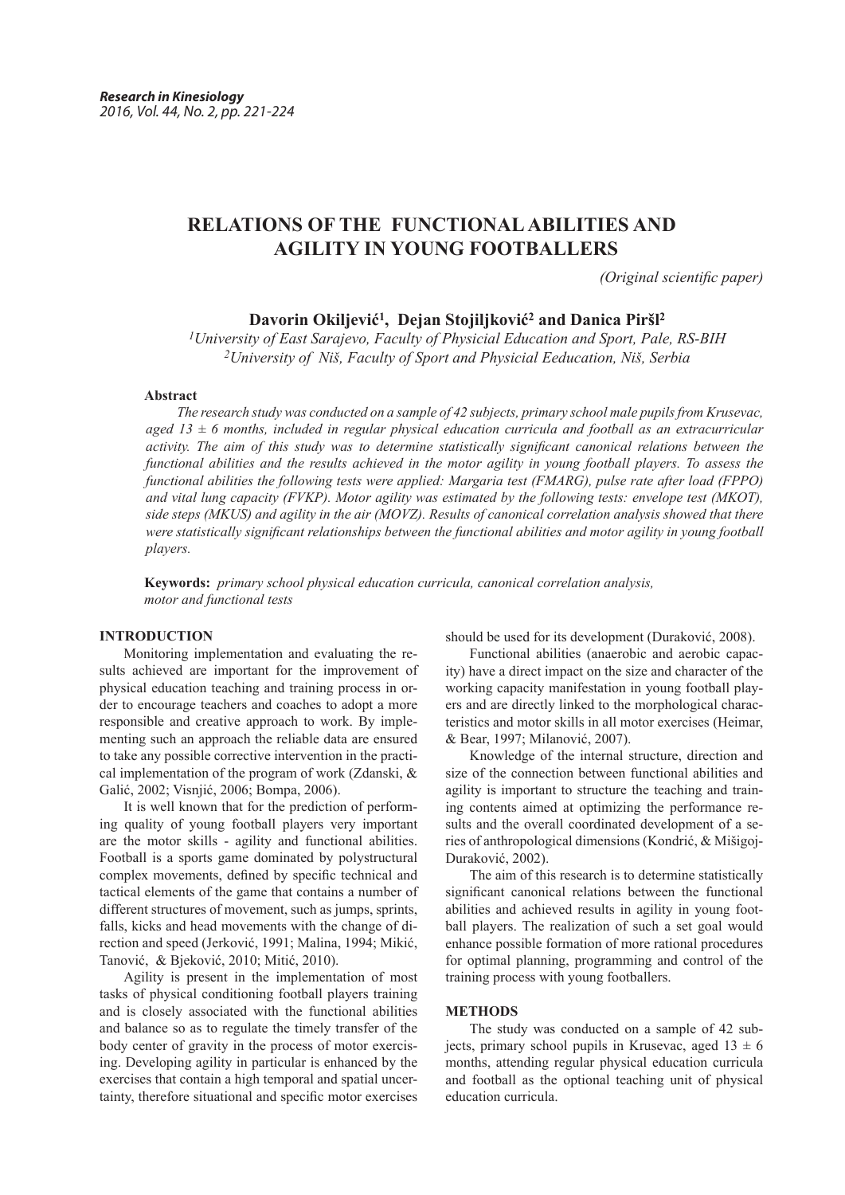# **RELATIONS OF THE FUNCTIONAL ABILITIES AND AGILITY IN YOUNG FOOTBALLERS**

*(Original scientific paper)*

# **Davorin Okiljević1, Dejan Stojiljković2 and Danica Piršl<sup>2</sup>**

*<sup>1</sup>University of East Sarajevo, Faculty of Physicial Education and Sport, Pale, RS-BIH 2University of Niš, Faculty of Sport and Physicial Eeducation, Niš, Serbia*

# **Abstract**

 *The research study was conducted on a sample of 42 subjects, primary school male pupils from Krusevac, aged 13 ± 6 months, included in regular physical education curricula and football as an extracurricular activity. The aim of this study was to determine statistically significant canonical relations between the functional abilities and the results achieved in the motor agility in young football players. To assess the functional abilities the following tests were applied: Margaria test (FMARG), pulse rate after load (FPPO) and vital lung capacity (FVKP). Motor agility was estimated by the following tests: envelope test (MKOT), side steps (MKUS) and agility in the air (MOVZ). Results of canonical correlation analysis showed that there were statistically significant relationships between the functional abilities and motor agility in young football players.*

**Keywords:** *primary school physical education curricula, canonical correlation analysis, motor and functional tests* 

# **INTRODUCTION**

Monitoring implementation and evaluating the results achieved are important for the improvement of physical education teaching and training process in order to encourage teachers and coaches to adopt a more responsible and creative approach to work. By implementing such an approach the reliable data are ensured to take any possible corrective intervention in the practical implementation of the program of work (Zdanski, & Galić, 2002; Visnjić, 2006; Bompa, 2006).

It is well known that for the prediction of performing quality of young football players very important are the motor skills - agility and functional abilities. Football is a sports game dominated by polystructural complex movements, defined by specific technical and tactical elements of the game that contains a number of different structures of movement, such as jumps, sprints, falls, kicks and head movements with the change of direction and speed (Jerković, 1991; Malina, 1994; Mikić, Tanović, & Bjeković, 2010; Mitić, 2010).

Agility is present in the implementation of most tasks of physical conditioning football players training and is closely associated with the functional abilities and balance so as to regulate the timely transfer of the body center of gravity in the process of motor exercising. Developing agility in particular is enhanced by the exercises that contain a high temporal and spatial uncertainty, therefore situational and specific motor exercises should be used for its development (Duraković, 2008).

Functional abilities (anaerobic and aerobic capacity) have a direct impact on the size and character of the working capacity manifestation in young football players and are directly linked to the morphological characteristics and motor skills in all motor exercises (Heimar, & Bear, 1997; Milanović, 2007).

Knowledge of the internal structure, direction and size of the connection between functional abilities and agility is important to structure the teaching and training contents aimed at optimizing the performance results and the overall coordinated development of a series of anthropological dimensions (Kondrić, & Mišigoj-Duraković, 2002).

The aim of this research is to determine statistically significant canonical relations between the functional abilities and achieved results in agility in young football players. The realization of such a set goal would enhance possible formation of more rational procedures for optimal planning, programming and control of the training process with young footballers.

### **METHODS**

The study was conducted on a sample of 42 subjects, primary school pupils in Krusevac, aged  $13 \pm 6$ months, attending regular physical education curricula and football as the optional teaching unit of physical education curricula.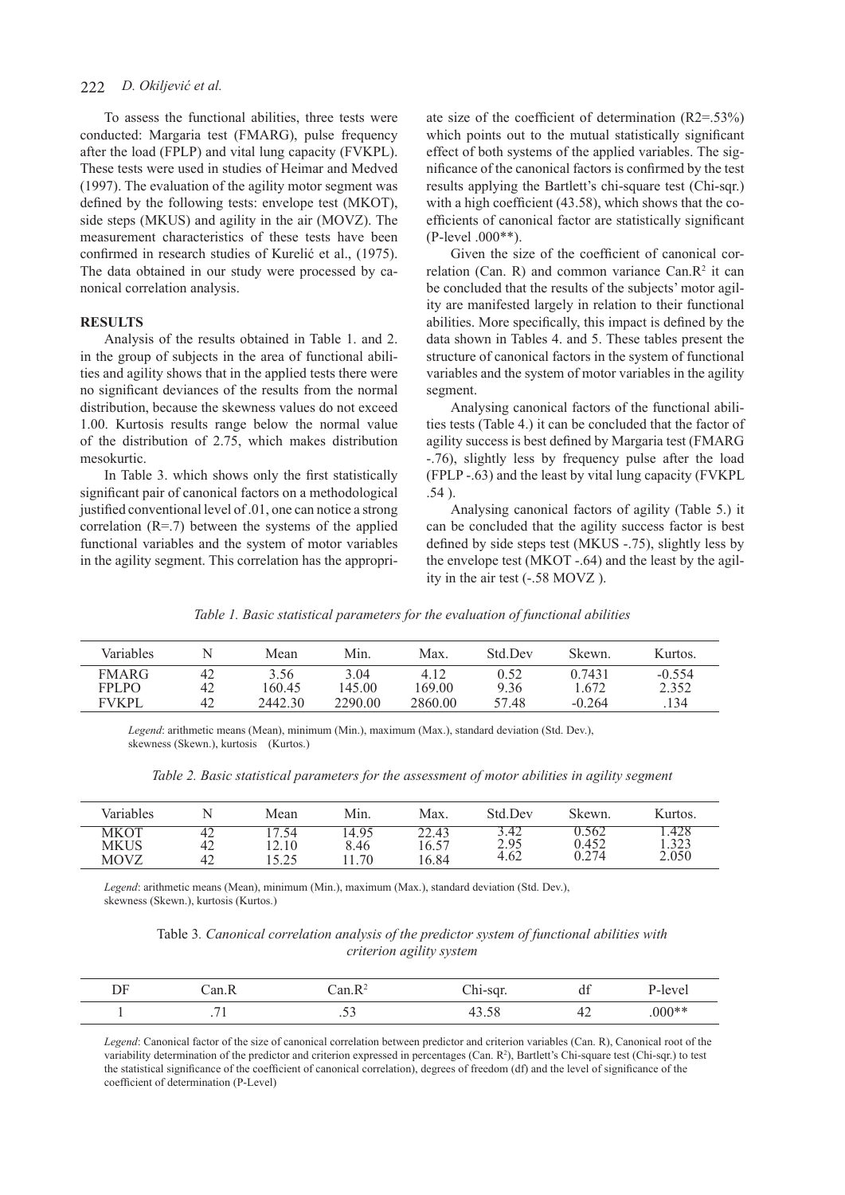# 222 *D. Okiljević et al.*

To assess the functional abilities, three tests were conducted: Margaria test (FMARG), pulse frequency after the load (FPLP) and vital lung capacity (FVKPL). These tests were used in studies of Heimar and Medved (1997). The evaluation of the agility motor segment was defined by the following tests: envelope test (MKOT), side steps (MKUS) and agility in the air (MOVZ). The measurement characteristics of these tests have been confirmed in research studies of Kurelić et al., (1975). The data obtained in our study were processed by canonical correlation analysis.

# **RESULTS**

Analysis of the results obtained in Table 1. and 2. in the group of subjects in the area of functional abilities and agility shows that in the applied tests there were no significant deviances of the results from the normal distribution, because the skewness values do not exceed 1.00. Kurtosis results range below the normal value of the distribution of 2.75, which makes distribution mesokurtic.

In Table 3. which shows only the first statistically significant pair of canonical factors on a methodological justified conventional level of 0.01, one can notice a strong correlation  $(R=7)$  between the systems of the applied functional variables and the system of motor variables in the agility segment. This correlation has the appropri-

ate size of the coefficient of determination (R2=.53%) which points out to the mutual statistically significant effect of both systems of the applied variables. The significance of the canonical factors is confirmed by the test results applying the Bartlett's chi-square test (Chi-sqr.) with a high coefficient (43.58), which shows that the coefficients of canonical factor are statistically significant  $(P-level .000**).$ 

Given the size of the coefficient of canonical correlation (Can. R) and common variance Can. $\mathbb{R}^2$  it can be concluded that the results of the subjects' motor agility are manifested largely in relation to their functional abilities. More specifically, this impact is defined by the data shown in Tables 4. and 5. These tables present the structure of canonical factors in the system of functional variables and the system of motor variables in the agility segment.

Analysing canonical factors of the functional abilities tests (Table 4.) it can be concluded that the factor of agility success is best defined by Margaria test (FMARG -.76), slightly less by frequency pulse after the load (FPLP -.63) and the least by vital lung capacity (FVKPL .54 ).

Analysing canonical factors of agility (Table 5.) it can be concluded that the agility success factor is best defined by side steps test (MKUS -.75), slightly less by the envelope test (MKOT -.64) and the least by the agility in the air test (-.58 MOVZ ).

#### *Table 1. Basic statistical parameters for the evaluation of functional abilities*

| Variables    |    | Mean    | Min.    | Max.    | <b>Std Dev</b> | Skewn.   | Kurtos.  |
|--------------|----|---------|---------|---------|----------------|----------|----------|
| <b>FMARG</b> | 42 | 3.56    | 3.04    | 4.12    | 0.52           | 0.7431   | $-0.554$ |
| FPI PO       | 42 | 160.45  | 145.00  | 169.00  | 9.36           | 1.672    | 2.352    |
| <b>FVKPI</b> | 42 | 2442.30 | 2290.00 | 2860.00 | 57.48          | $-0.264$ | 134      |

*Legend*: arithmetic means (Mean), minimum (Min.), maximum (Max.), standard deviation (Std. Dev.), skewness (Skewn.), kurtosis (Kurtos.)

| Table 2. Basic statistical parameters for the assessment of motor abilities in agility segment |  |  |
|------------------------------------------------------------------------------------------------|--|--|
|                                                                                                |  |  |

| Variables                   |                | Mean                                             | Min.                 | Max.                   | Std Dev              | Skewn.                | Kurtos.                |
|-----------------------------|----------------|--------------------------------------------------|----------------------|------------------------|----------------------|-----------------------|------------------------|
| MKO.<br><b>MKUS</b><br>MOVZ | 42<br>42<br>42 | -54<br>⊢ ب<br>2.10<br>$\sim$<br>よつよ<br>. J . 2 J | 14.95<br>3.46<br>.70 | 22.43<br>16.5<br>16.84 | 3.42<br>2.95<br>4.62 | 0.562<br>0.452<br>274 | .428<br>1.323<br>2.050 |

*Legend*: arithmetic means (Mean), minimum (Min.), maximum (Max.), standard deviation (Std. Dev.), skewness (Skewn.), kurtosis (Kurtos.)

|  |  |                          | Table 3. Canonical correlation analysis of the predictor system of functional abilities with |  |
|--|--|--------------------------|----------------------------------------------------------------------------------------------|--|
|  |  | criterion agility system |                                                                                              |  |

| DF | ່ດກ<br>$_{\rm{outint}}$ | an R<br>LJ 4 | Chi-sqr.        | . .<br>đÌ           | '-leve <sub>r</sub> |
|----|-------------------------|--------------|-----------------|---------------------|---------------------|
|    |                         | $\sim$       | ட<br>. J O<br>τ | $+2$<br><u>. – </u> | $.000**$            |

*Legend*: Canonical factor of the size of canonical correlation between predictor and criterion variables (Can. R), Canonical root of the variability determination of the predictor and criterion expressed in percentages (Can. R<sup>2</sup>), Bartlett's Chi-square test (Chi-sqr.) to test the statistical significance of the coefficient of canonical correlation), degrees of freedom (df) and the level of significance of the coefficient of determination (P-Level)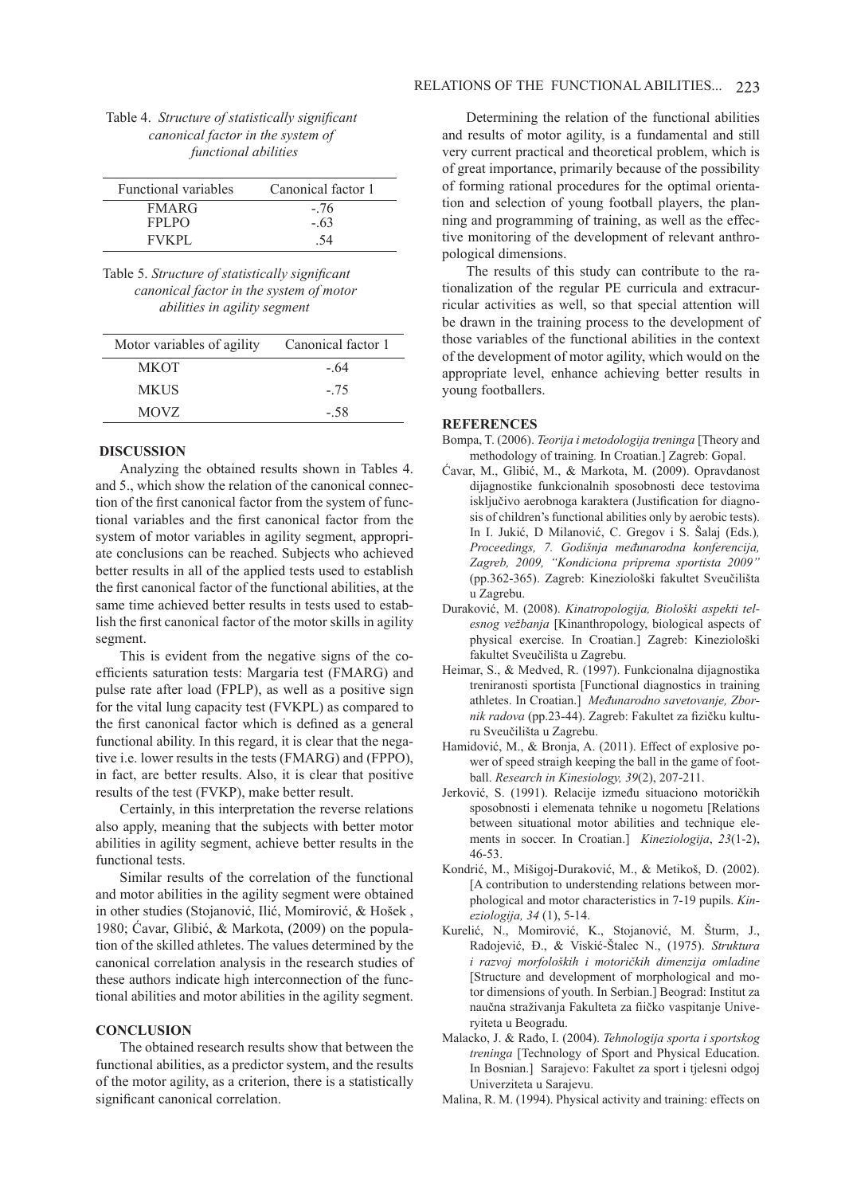| <b>Functional variables</b> | Canonical factor 1 |
|-----------------------------|--------------------|
| <b>FMARG</b>                | $-76$              |
| FPI PO                      | $-63$              |
| <b>FVKPL</b>                | 54                 |

# Table 4. *Structure of statistically significant canonical factor in the system of functional abilities*

# Table 5. *Structure of statistically significant canonical factor in the system of motor abilities in agility segment*

| Motor variables of agility | Canonical factor 1 |
|----------------------------|--------------------|
| <b>MKOT</b>                | - 64               |
| <b>MKUS</b>                | $-75$              |
| MOVZ                       | - 58               |

### **DISCUSSION**

Analyzing the obtained results shown in Tables 4. and 5., which show the relation of the canonical connection of the first canonical factor from the system of functional variables and the first canonical factor from the system of motor variables in agility segment, appropriate conclusions can be reached. Subjects who achieved better results in all of the applied tests used to establish the first canonical factor of the functional abilities, at the same time achieved better results in tests used to establish the first canonical factor of the motor skills in agility segment.

This is evident from the negative signs of the coefficients saturation tests: Margaria test (FMARG) and pulse rate after load (FPLP), as well as a positive sign for the vital lung capacity test (FVKPL) as compared to the first canonical factor which is defined as a general functional ability. In this regard, it is clear that the negative i.e. lower results in the tests (FMARG) and (FPPO), in fact, are better results. Also, it is clear that positive results of the test (FVKP), make better result.

Certainly, in this interpretation the reverse relations also apply, meaning that the subjects with better motor abilities in agility segment, achieve better results in the functional tests.

Similar results of the correlation of the functional and motor abilities in the agility segment were obtained in other studies (Stojanović, Ilić, Momirović, & Hošek , 1980; Ćavar, Glibić, & Markota, (2009) on the population of the skilled athletes. The values determined by the canonical correlation analysis in the research studies of these authors indicate high interconnection of the functional abilities and motor abilities in the agility segment.

### **CONCLUSION**

The obtained research results show that between the functional abilities, as a predictor system, and the results of the motor agility, as a criterion, there is a statistically significant canonical correlation.

Determining the relation of the functional abilities and results of motor agility, is a fundamental and still very current practical and theoretical problem, which is of great importance, primarily because of the possibility of forming rational procedures for the optimal orientation and selection of young football players, the planning and programming of training, as well as the effective monitoring of the development of relevant anthropological dimensions.

The results of this study can contribute to the rationalization of the regular PE curricula and extracurricular activities as well, so that special attention will be drawn in the training process to the development of those variables of the functional abilities in the context of the development of motor agility, which would on the appropriate level, enhance achieving better results in young footballers.

#### **REFERENCES**

- Bompa, T. (2006). *Teorija i metodologija treninga* [Theory and methodology of training*.* In Croatian.] Zagreb: Gopal.
- Ćavar, M., Glibić, M., & Markota, M. (2009). Opravdanost dijagnostike funkcionalnih sposobnosti dece testovima isključivo aerobnoga karaktera (Justification for diagnosis of children's functional abilities only by aerobic tests). In I. Jukić, D Milanović, C. Gregov i S. Šalaj (Eds.)*, Proceedings, 7. Godišnja međunarodna konferencija, Zagreb, 2009, "Kondiciona priprema sportista 2009"*  (pp.362-365). Zagreb: Kineziološki fakultet Sveučilišta u Zagrebu.
- Duraković, M. (2008). *Kinatropologija, Biološki aspekti telesnog vežbanja* [Kinanthropology, biological aspects of physical exercise. In Croatian.] Zagreb: Kineziološki fakultet Sveučilišta u Zagrebu.
- Heimar, S., & Medved, R. (1997). Funkcionalna dijagnostika treniranosti sportista [Functional diagnostics in training athletes. In Croatian.] *Međunarodno savetovanje, Zbornik radova* (pp.23-44). Zagreb: Fakultet za fizičku kulturu Sveučilišta u Zagrebu.
- Hamidović, M., & Bronja, A. (2011). Effect of explosive power of speed straigh keeping the ball in the game of football. *Research in Kinesiology, 39*(2), 207-211.
- Jerković, S. (1991). Relacije između situaciono motoričkih sposobnosti i elemenata tehnike u nogometu [Relations between situational motor abilities and technique elements in soccer. In Croatian.] *Kineziologija*, *23*(1-2), 46-53.
- Kondrić, M., Mišigoj-Duraković, M., & Metikoš, D. (2002). [A contribution to understending relations between morphological and motor characteristics in 7-19 pupils. *Kineziologija, 34* (1), 5-14.
- Kurelić, N., Momirović, K., Stojanović, M. Šturm, J., Radojević, Đ., & Viskić-Štalec N., (1975). *Struktura i razvoj morfoloških i motoričkih dimenzija omladine*  [Structure and development of morphological and motor dimensions of youth. In Serbian.] Beograd: Institut za naučna straživanja Fakulteta za fiičko vaspitanje Univeryiteta u Beogradu.
- Malacko, J. & Rađo, I. (2004). *Tehnologija sporta i sportskog treninga* [Technology of Sport and Physical Education. In Bosnian.] Sarajevo: Fakultet za sport i tjelesni odgoj Univerziteta u Sarajevu.
- Malina, R. M. (1994). Physical activity and training: effects on